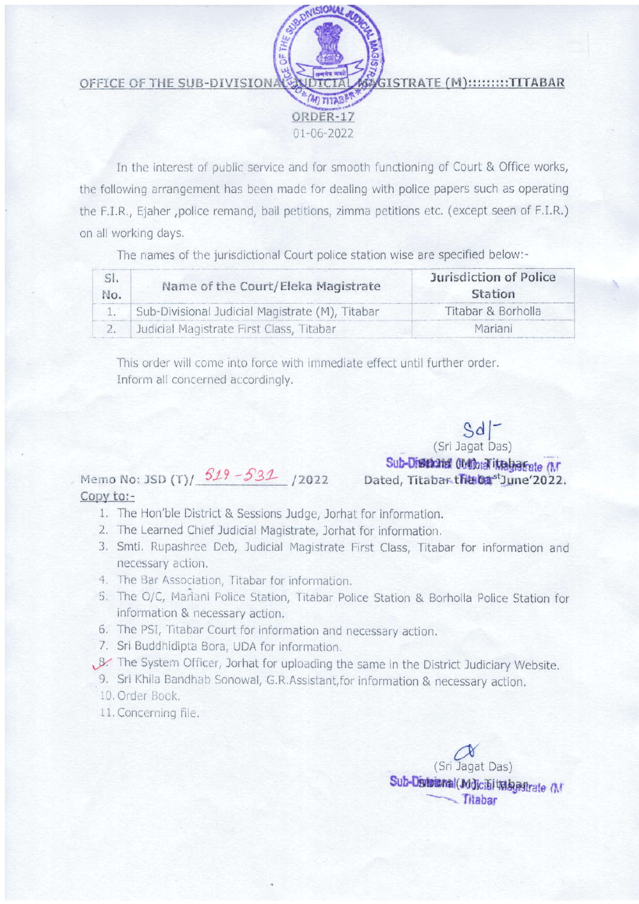ISTRATE (M):::::::::TITABAR OFFICE OF THE SUB-DIVISIONA ORDER-17  $01 - 06 - 2022$ 

In the interest of public service and for smooth functioning of Court & Office works, the following arrangement has been made for dealing with police papers such as operating the F.I.R., Ejaher ,police remand, bail petitions, zimma petitions etc. (except seen of F.I.R.) on all working days.

The names of the jurisdictional Court police station wise are specified below:-

| SI.<br>No. | Name of the Court/Eleka Magistrate              | <b>Jurisdiction of Police</b><br>Station |
|------------|-------------------------------------------------|------------------------------------------|
|            | Sub-Divisional Judicial Magistrate (M), Titabar | Titabar & Borholla                       |
|            | Judicial Magistrate First Class, Titabar        | Mariani                                  |

This order will come into force with immediate effect until further order. Inform all concerned accordingly.

## Memo No: JSD (T)  $519 - 531$  /2022 Copy to:-

- 1. The Hon'ble District & Sessions Judge, Jorhat for information.
- 2. The Learned Chief Judicial Magistrate, Jorhat for information.
- 3. Smti. Rupashree Deb, Judicial Magistrate First Class, Titabar for information and necessary action.
- 4. The Bar Association, Titabar for information.
- 5. The O/C, Mariani Police Station, Titabar Police Station & Borholla Police Station for information & necessary action.
- 6. The PSI, Titabar Court for information and necessary action.
- 7. Sri Buddhidipta Bora, UDA for information.
- . 8. The System Officer, Jorhat for uploading the same in the District Judiciary Website.
	- 9. Sri Khila Bandhab Sonowal, G.R.Assistant, for information & necessary action.
	- 10. Order Book.
	- 11. Concerning file.

(Sri Jagat Das) Sub-Distributional(Mdicibi imagestrate (M Titabar

(Sri Jagat Das) Sub-District Obthick it algebrate (M) Dated, Titabar the 01st June 2022.

Sd